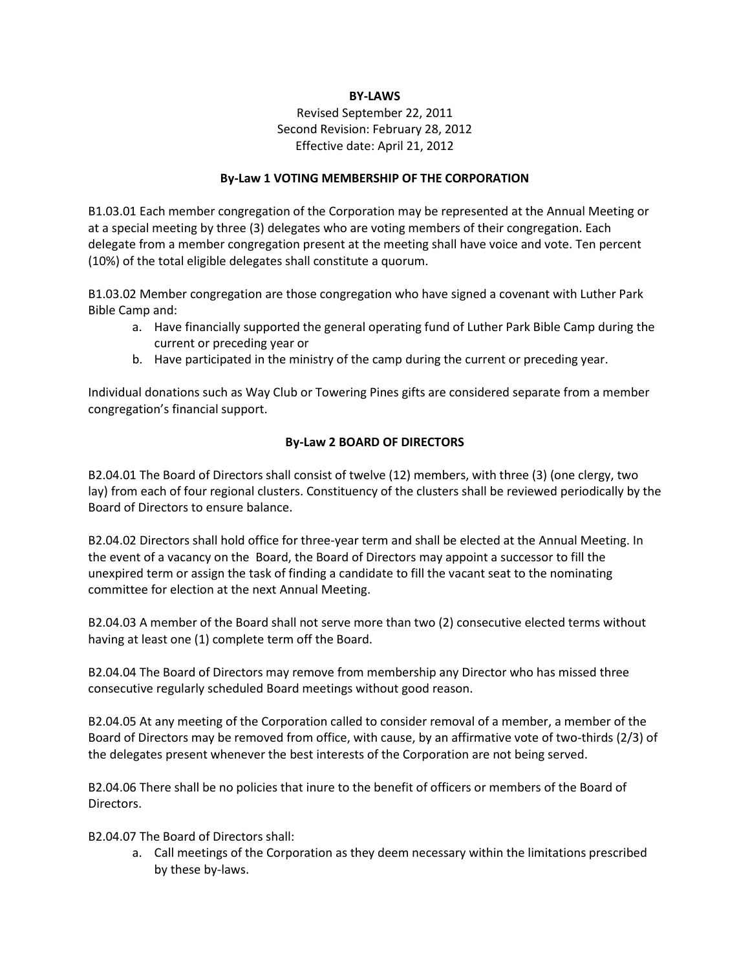## **BY-LAWS**

# Revised September 22, 2011 Second Revision: February 28, 2012 Effective date: April 21, 2012

## **By-Law 1 VOTING MEMBERSHIP OF THE CORPORATION**

B1.03.01 Each member congregation of the Corporation may be represented at the Annual Meeting or at a special meeting by three (3) delegates who are voting members of their congregation. Each delegate from a member congregation present at the meeting shall have voice and vote. Ten percent (10%) of the total eligible delegates shall constitute a quorum.

B1.03.02 Member congregation are those congregation who have signed a covenant with Luther Park Bible Camp and:

- a. Have financially supported the general operating fund of Luther Park Bible Camp during the current or preceding year or
- b. Have participated in the ministry of the camp during the current or preceding year.

Individual donations such as Way Club or Towering Pines gifts are considered separate from a member congregation's financial support.

# **By-Law 2 BOARD OF DIRECTORS**

B2.04.01 The Board of Directors shall consist of twelve (12) members, with three (3) (one clergy, two lay) from each of four regional clusters. Constituency of the clusters shall be reviewed periodically by the Board of Directors to ensure balance.

B2.04.02 Directors shall hold office for three-year term and shall be elected at the Annual Meeting. In the event of a vacancy on the Board, the Board of Directors may appoint a successor to fill the unexpired term or assign the task of finding a candidate to fill the vacant seat to the nominating committee for election at the next Annual Meeting.

B2.04.03 A member of the Board shall not serve more than two (2) consecutive elected terms without having at least one (1) complete term off the Board.

B2.04.04 The Board of Directors may remove from membership any Director who has missed three consecutive regularly scheduled Board meetings without good reason.

B2.04.05 At any meeting of the Corporation called to consider removal of a member, a member of the Board of Directors may be removed from office, with cause, by an affirmative vote of two-thirds (2/3) of the delegates present whenever the best interests of the Corporation are not being served.

B2.04.06 There shall be no policies that inure to the benefit of officers or members of the Board of Directors.

B2.04.07 The Board of Directors shall:

a. Call meetings of the Corporation as they deem necessary within the limitations prescribed by these by-laws.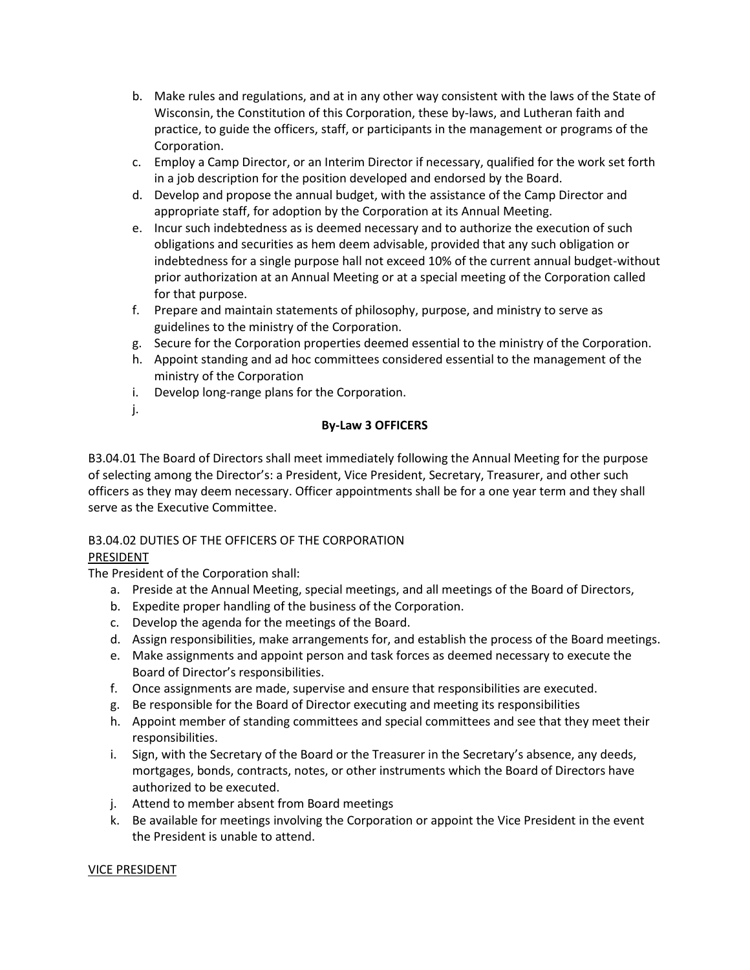- b. Make rules and regulations, and at in any other way consistent with the laws of the State of Wisconsin, the Constitution of this Corporation, these by-laws, and Lutheran faith and practice, to guide the officers, staff, or participants in the management or programs of the Corporation.
- c. Employ a Camp Director, or an Interim Director if necessary, qualified for the work set forth in a job description for the position developed and endorsed by the Board.
- d. Develop and propose the annual budget, with the assistance of the Camp Director and appropriate staff, for adoption by the Corporation at its Annual Meeting.
- e. Incur such indebtedness as is deemed necessary and to authorize the execution of such obligations and securities as hem deem advisable, provided that any such obligation or indebtedness for a single purpose hall not exceed 10% of the current annual budget-without prior authorization at an Annual Meeting or at a special meeting of the Corporation called for that purpose.
- f. Prepare and maintain statements of philosophy, purpose, and ministry to serve as guidelines to the ministry of the Corporation.
- g. Secure for the Corporation properties deemed essential to the ministry of the Corporation.
- h. Appoint standing and ad hoc committees considered essential to the management of the ministry of the Corporation
- i. Develop long-range plans for the Corporation.
- j.

# **By-Law 3 OFFICERS**

B3.04.01 The Board of Directors shall meet immediately following the Annual Meeting for the purpose of selecting among the Director's: a President, Vice President, Secretary, Treasurer, and other such officers as they may deem necessary. Officer appointments shall be for a one year term and they shall serve as the Executive Committee.

# B3.04.02 DUTIES OF THE OFFICERS OF THE CORPORATION

# PRESIDENT

The President of the Corporation shall:

- a. Preside at the Annual Meeting, special meetings, and all meetings of the Board of Directors,
- b. Expedite proper handling of the business of the Corporation.
- c. Develop the agenda for the meetings of the Board.
- d. Assign responsibilities, make arrangements for, and establish the process of the Board meetings.
- e. Make assignments and appoint person and task forces as deemed necessary to execute the Board of Director's responsibilities.
- f. Once assignments are made, supervise and ensure that responsibilities are executed.
- g. Be responsible for the Board of Director executing and meeting its responsibilities
- h. Appoint member of standing committees and special committees and see that they meet their responsibilities.
- i. Sign, with the Secretary of the Board or the Treasurer in the Secretary's absence, any deeds, mortgages, bonds, contracts, notes, or other instruments which the Board of Directors have authorized to be executed.
- j. Attend to member absent from Board meetings
- k. Be available for meetings involving the Corporation or appoint the Vice President in the event the President is unable to attend.

## VICE PRESIDENT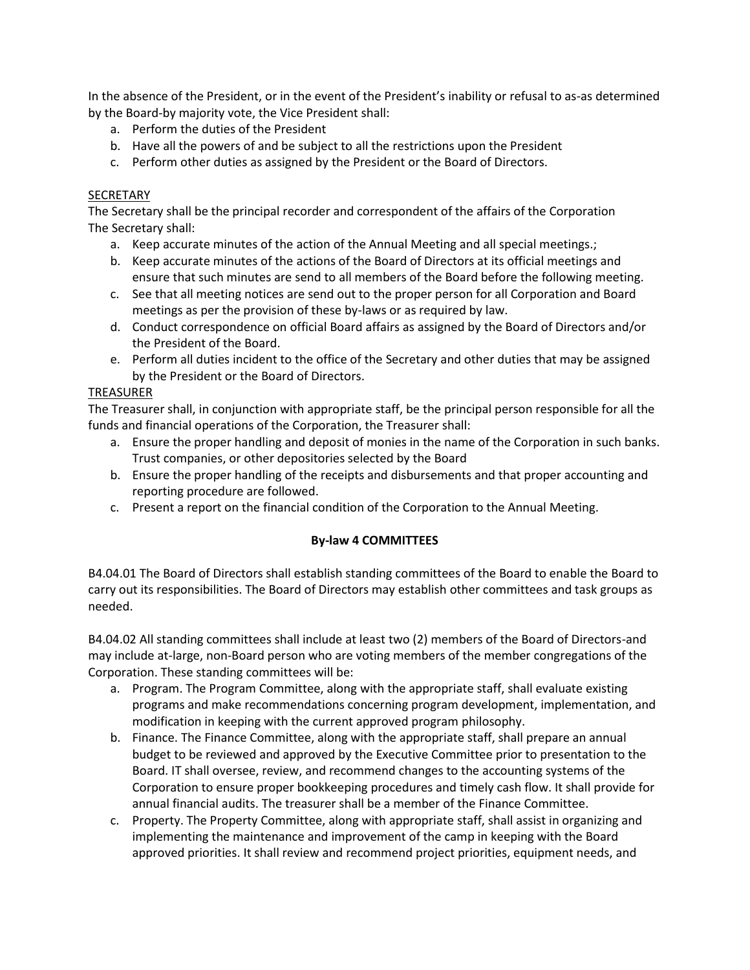In the absence of the President, or in the event of the President's inability or refusal to as-as determined by the Board-by majority vote, the Vice President shall:

- a. Perform the duties of the President
- b. Have all the powers of and be subject to all the restrictions upon the President
- c. Perform other duties as assigned by the President or the Board of Directors.

## SECRETARY

The Secretary shall be the principal recorder and correspondent of the affairs of the Corporation The Secretary shall:

- a. Keep accurate minutes of the action of the Annual Meeting and all special meetings.;
- b. Keep accurate minutes of the actions of the Board of Directors at its official meetings and ensure that such minutes are send to all members of the Board before the following meeting.
- c. See that all meeting notices are send out to the proper person for all Corporation and Board meetings as per the provision of these by-laws or as required by law.
- d. Conduct correspondence on official Board affairs as assigned by the Board of Directors and/or the President of the Board.
- e. Perform all duties incident to the office of the Secretary and other duties that may be assigned by the President or the Board of Directors.

#### TREASURER

The Treasurer shall, in conjunction with appropriate staff, be the principal person responsible for all the funds and financial operations of the Corporation, the Treasurer shall:

- a. Ensure the proper handling and deposit of monies in the name of the Corporation in such banks. Trust companies, or other depositories selected by the Board
- b. Ensure the proper handling of the receipts and disbursements and that proper accounting and reporting procedure are followed.
- c. Present a report on the financial condition of the Corporation to the Annual Meeting.

## **By-law 4 COMMITTEES**

B4.04.01 The Board of Directors shall establish standing committees of the Board to enable the Board to carry out its responsibilities. The Board of Directors may establish other committees and task groups as needed.

B4.04.02 All standing committees shall include at least two (2) members of the Board of Directors-and may include at-large, non-Board person who are voting members of the member congregations of the Corporation. These standing committees will be:

- a. Program. The Program Committee, along with the appropriate staff, shall evaluate existing programs and make recommendations concerning program development, implementation, and modification in keeping with the current approved program philosophy.
- b. Finance. The Finance Committee, along with the appropriate staff, shall prepare an annual budget to be reviewed and approved by the Executive Committee prior to presentation to the Board. IT shall oversee, review, and recommend changes to the accounting systems of the Corporation to ensure proper bookkeeping procedures and timely cash flow. It shall provide for annual financial audits. The treasurer shall be a member of the Finance Committee.
- c. Property. The Property Committee, along with appropriate staff, shall assist in organizing and implementing the maintenance and improvement of the camp in keeping with the Board approved priorities. It shall review and recommend project priorities, equipment needs, and